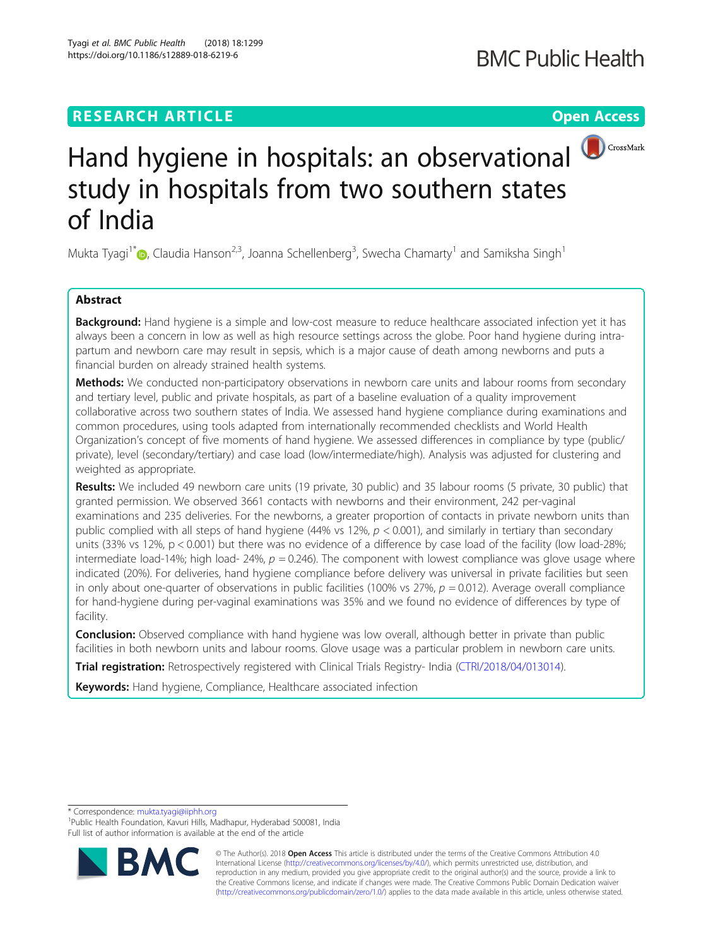## **RESEARCH ARTICLE Example 2018 12:30 THE Open Access**

## **BMC Public Health**



# Hand hygiene in hospitals: an observational study in hospitals from two southern states of India

Mukta Tyagi<sup>1[\\*](http://orcid.org/0000-0001-9821-934X)</sup>@, Claudia Hanson<sup>2,3</sup>, Joanna Schellenberg<sup>3</sup>, Swecha Chamarty<sup>1</sup> and Samiksha Singh<sup>1</sup>

## Abstract

Background: Hand hygiene is a simple and low-cost measure to reduce healthcare associated infection yet it has always been a concern in low as well as high resource settings across the globe. Poor hand hygiene during intrapartum and newborn care may result in sepsis, which is a major cause of death among newborns and puts a financial burden on already strained health systems.

Methods: We conducted non-participatory observations in newborn care units and labour rooms from secondary and tertiary level, public and private hospitals, as part of a baseline evaluation of a quality improvement collaborative across two southern states of India. We assessed hand hygiene compliance during examinations and common procedures, using tools adapted from internationally recommended checklists and World Health Organization's concept of five moments of hand hygiene. We assessed differences in compliance by type (public/ private), level (secondary/tertiary) and case load (low/intermediate/high). Analysis was adjusted for clustering and weighted as appropriate.

Results: We included 49 newborn care units (19 private, 30 public) and 35 labour rooms (5 private, 30 public) that granted permission. We observed 3661 contacts with newborns and their environment, 242 per-vaginal examinations and 235 deliveries. For the newborns, a greater proportion of contacts in private newborn units than public complied with all steps of hand hygiene (44% vs 12%,  $p < 0.001$ ), and similarly in tertiary than secondary units (33% vs 12%, p < 0.001) but there was no evidence of a difference by case load of the facility (low load-28%; intermediate load-14%; high load- 24%,  $p = 0.246$ ). The component with lowest compliance was glove usage where indicated (20%). For deliveries, hand hygiene compliance before delivery was universal in private facilities but seen in only about one-quarter of observations in public facilities (100% vs 27%,  $p = 0.012$ ). Average overall compliance for hand-hygiene during per-vaginal examinations was 35% and we found no evidence of differences by type of facility.

**Conclusion:** Observed compliance with hand hygiene was low overall, although better in private than public facilities in both newborn units and labour rooms. Glove usage was a particular problem in newborn care units.

Trial registration: Retrospectively registered with Clinical Trials Registry- India [\(CTRI/2018/04/013014](http://ctri.nic.in/Clinicaltrials/showallp.php?mid1=19367&EncHid=&userName=Samiksha%20Singh)).

Keywords: Hand hygiene, Compliance, Healthcare associated infection

\* Correspondence: [mukta.tyagi@iiphh.org](mailto:mukta.tyagi@iiphh.org) <sup>1</sup>

<sup>1</sup>Public Health Foundation, Kavuri Hills, Madhapur, Hyderabad 500081, India Full list of author information is available at the end of the article



© The Author(s). 2018 Open Access This article is distributed under the terms of the Creative Commons Attribution 4.0 International License [\(http://creativecommons.org/licenses/by/4.0/](http://creativecommons.org/licenses/by/4.0/)), which permits unrestricted use, distribution, and reproduction in any medium, provided you give appropriate credit to the original author(s) and the source, provide a link to the Creative Commons license, and indicate if changes were made. The Creative Commons Public Domain Dedication waiver [\(http://creativecommons.org/publicdomain/zero/1.0/](http://creativecommons.org/publicdomain/zero/1.0/)) applies to the data made available in this article, unless otherwise stated.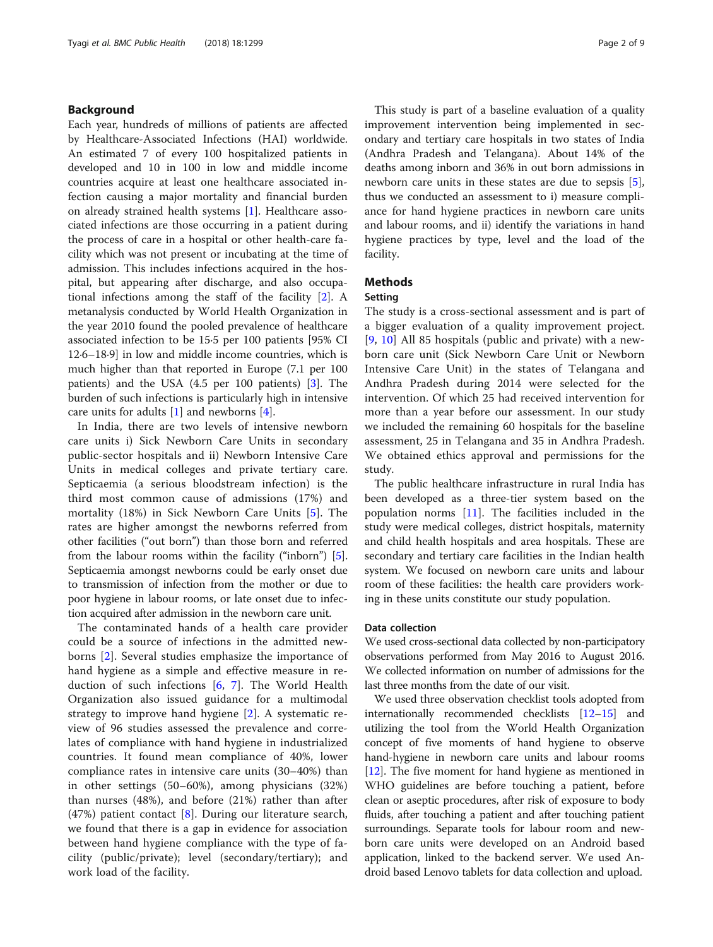## Background

Each year, hundreds of millions of patients are affected by Healthcare-Associated Infections (HAI) worldwide. An estimated 7 of every 100 hospitalized patients in developed and 10 in 100 in low and middle income countries acquire at least one healthcare associated infection causing a major mortality and financial burden on already strained health systems [[1\]](#page-8-0). Healthcare associated infections are those occurring in a patient during the process of care in a hospital or other health-care facility which was not present or incubating at the time of admission. This includes infections acquired in the hospital, but appearing after discharge, and also occupational infections among the staff of the facility [\[2](#page-8-0)]. A metanalysis conducted by World Health Organization in the year 2010 found the pooled prevalence of healthcare associated infection to be 15·5 per 100 patients [95% CI 12·6–18·9] in low and middle income countries, which is much higher than that reported in Europe (7.1 per 100 patients) and the USA (4.5 per 100 patients) [\[3](#page-8-0)]. The burden of such infections is particularly high in intensive care units for adults  $[1]$  and newborns  $[4]$  $[4]$ .

In India, there are two levels of intensive newborn care units i) Sick Newborn Care Units in secondary public-sector hospitals and ii) Newborn Intensive Care Units in medical colleges and private tertiary care. Septicaemia (a serious bloodstream infection) is the third most common cause of admissions (17%) and mortality (18%) in Sick Newborn Care Units [\[5](#page-8-0)]. The rates are higher amongst the newborns referred from other facilities ("out born") than those born and referred from the labour rooms within the facility ("inborn") [[5](#page-8-0)]. Septicaemia amongst newborns could be early onset due to transmission of infection from the mother or due to poor hygiene in labour rooms, or late onset due to infection acquired after admission in the newborn care unit.

The contaminated hands of a health care provider could be a source of infections in the admitted newborns [\[2](#page-8-0)]. Several studies emphasize the importance of hand hygiene as a simple and effective measure in reduction of such infections [[6,](#page-8-0) [7](#page-8-0)]. The World Health Organization also issued guidance for a multimodal strategy to improve hand hygiene [[2\]](#page-8-0). A systematic review of 96 studies assessed the prevalence and correlates of compliance with hand hygiene in industrialized countries. It found mean compliance of 40%, lower compliance rates in intensive care units (30–40%) than in other settings (50–60%), among physicians (32%) than nurses (48%), and before (21%) rather than after (47%) patient contact [\[8](#page-8-0)]. During our literature search, we found that there is a gap in evidence for association between hand hygiene compliance with the type of facility (public/private); level (secondary/tertiary); and work load of the facility.

This study is part of a baseline evaluation of a quality improvement intervention being implemented in secondary and tertiary care hospitals in two states of India (Andhra Pradesh and Telangana). About 14% of the deaths among inborn and 36% in out born admissions in newborn care units in these states are due to sepsis [\[5](#page-8-0)], thus we conducted an assessment to i) measure compliance for hand hygiene practices in newborn care units and labour rooms, and ii) identify the variations in hand hygiene practices by type, level and the load of the facility.

## Methods

## Setting

The study is a cross-sectional assessment and is part of a bigger evaluation of a quality improvement project. [[9](#page-8-0), [10](#page-8-0)] All 85 hospitals (public and private) with a newborn care unit (Sick Newborn Care Unit or Newborn Intensive Care Unit) in the states of Telangana and Andhra Pradesh during 2014 were selected for the intervention. Of which 25 had received intervention for more than a year before our assessment. In our study we included the remaining 60 hospitals for the baseline assessment, 25 in Telangana and 35 in Andhra Pradesh. We obtained ethics approval and permissions for the study.

The public healthcare infrastructure in rural India has been developed as a three-tier system based on the population norms  $[11]$  $[11]$  $[11]$ . The facilities included in the study were medical colleges, district hospitals, maternity and child health hospitals and area hospitals. These are secondary and tertiary care facilities in the Indian health system. We focused on newborn care units and labour room of these facilities: the health care providers working in these units constitute our study population.

#### Data collection

We used cross-sectional data collected by non-participatory observations performed from May 2016 to August 2016. We collected information on number of admissions for the last three months from the date of our visit.

We used three observation checklist tools adopted from internationally recommended checklists [\[12](#page-8-0)–[15](#page-8-0)] and utilizing the tool from the World Health Organization concept of five moments of hand hygiene to observe hand-hygiene in newborn care units and labour rooms [[12](#page-8-0)]. The five moment for hand hygiene as mentioned in WHO guidelines are before touching a patient, before clean or aseptic procedures, after risk of exposure to body fluids, after touching a patient and after touching patient surroundings. Separate tools for labour room and newborn care units were developed on an Android based application, linked to the backend server. We used Android based Lenovo tablets for data collection and upload.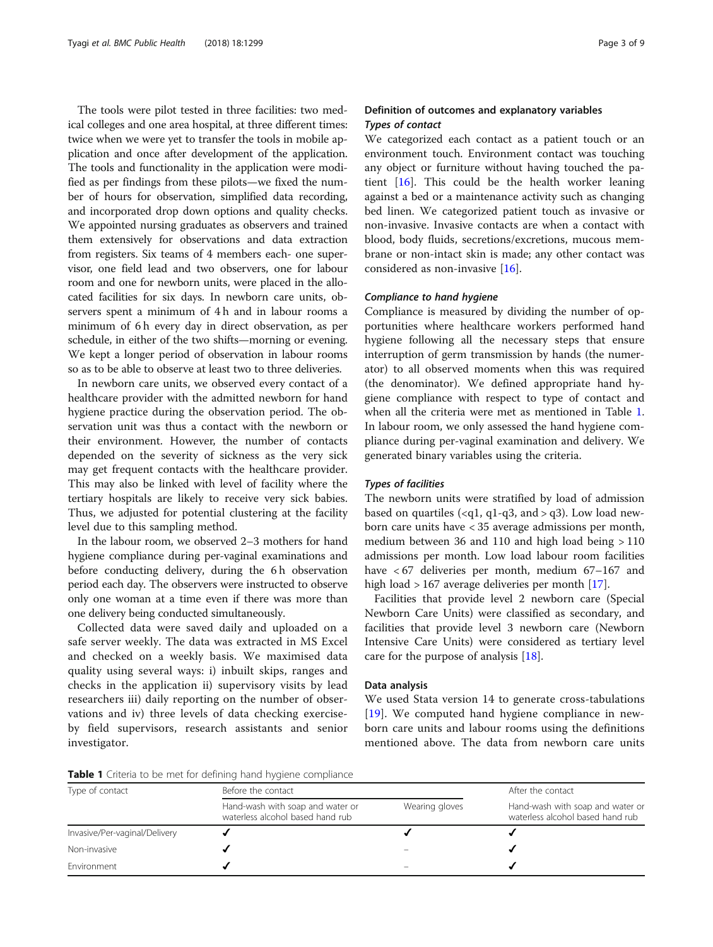The tools were pilot tested in three facilities: two medical colleges and one area hospital, at three different times: twice when we were yet to transfer the tools in mobile application and once after development of the application. The tools and functionality in the application were modified as per findings from these pilots—we fixed the number of hours for observation, simplified data recording, and incorporated drop down options and quality checks. We appointed nursing graduates as observers and trained them extensively for observations and data extraction from registers. Six teams of 4 members each- one supervisor, one field lead and two observers, one for labour room and one for newborn units, were placed in the allocated facilities for six days. In newborn care units, observers spent a minimum of 4 h and in labour rooms a minimum of 6 h every day in direct observation, as per schedule, in either of the two shifts—morning or evening. We kept a longer period of observation in labour rooms so as to be able to observe at least two to three deliveries.

In newborn care units, we observed every contact of a healthcare provider with the admitted newborn for hand hygiene practice during the observation period. The observation unit was thus a contact with the newborn or their environment. However, the number of contacts depended on the severity of sickness as the very sick may get frequent contacts with the healthcare provider. This may also be linked with level of facility where the tertiary hospitals are likely to receive very sick babies. Thus, we adjusted for potential clustering at the facility level due to this sampling method.

In the labour room, we observed 2–3 mothers for hand hygiene compliance during per-vaginal examinations and before conducting delivery, during the 6 h observation period each day. The observers were instructed to observe only one woman at a time even if there was more than one delivery being conducted simultaneously.

Collected data were saved daily and uploaded on a safe server weekly. The data was extracted in MS Excel and checked on a weekly basis. We maximised data quality using several ways: i) inbuilt skips, ranges and checks in the application ii) supervisory visits by lead researchers iii) daily reporting on the number of observations and iv) three levels of data checking exerciseby field supervisors, research assistants and senior investigator.

## Definition of outcomes and explanatory variables Types of contact

We categorized each contact as a patient touch or an environment touch. Environment contact was touching any object or furniture without having touched the patient  $[16]$  $[16]$ . This could be the health worker leaning against a bed or a maintenance activity such as changing bed linen. We categorized patient touch as invasive or non-invasive. Invasive contacts are when a contact with blood, body fluids, secretions/excretions, mucous membrane or non-intact skin is made; any other contact was considered as non-invasive [[16\]](#page-8-0).

## Compliance to hand hygiene

Compliance is measured by dividing the number of opportunities where healthcare workers performed hand hygiene following all the necessary steps that ensure interruption of germ transmission by hands (the numerator) to all observed moments when this was required (the denominator). We defined appropriate hand hygiene compliance with respect to type of contact and when all the criteria were met as mentioned in Table 1. In labour room, we only assessed the hand hygiene compliance during per-vaginal examination and delivery. We generated binary variables using the criteria.

## Types of facilities

The newborn units were stratified by load of admission based on quartiles  $\left(\langle q_1, q_1-q_3, q_1 \rangle, q_2\right)$ . Low load newborn care units have < 35 average admissions per month, medium between 36 and 110 and high load being > 110 admissions per month. Low load labour room facilities have < 67 deliveries per month, medium 67–167 and high load > 167 average deliveries per month [[17](#page-8-0)].

Facilities that provide level 2 newborn care (Special Newborn Care Units) were classified as secondary, and facilities that provide level 3 newborn care (Newborn Intensive Care Units) were considered as tertiary level care for the purpose of analysis [[18\]](#page-8-0).

#### Data analysis

We used Stata version 14 to generate cross-tabulations [[19\]](#page-8-0). We computed hand hygiene compliance in newborn care units and labour rooms using the definitions mentioned above. The data from newborn care units

**Table 1** Criteria to be met for defining hand hygiene compliance

| Type of contact               | Before the contact                                                   |                | After the contact                                                    |  |  |
|-------------------------------|----------------------------------------------------------------------|----------------|----------------------------------------------------------------------|--|--|
|                               | Hand-wash with soap and water or<br>waterless alcohol based hand rub | Wearing gloves | Hand-wash with soap and water or<br>waterless alcohol based hand rub |  |  |
| Invasive/Per-vaginal/Delivery |                                                                      |                |                                                                      |  |  |
| Non-invasive                  |                                                                      |                |                                                                      |  |  |
| Environment                   |                                                                      |                |                                                                      |  |  |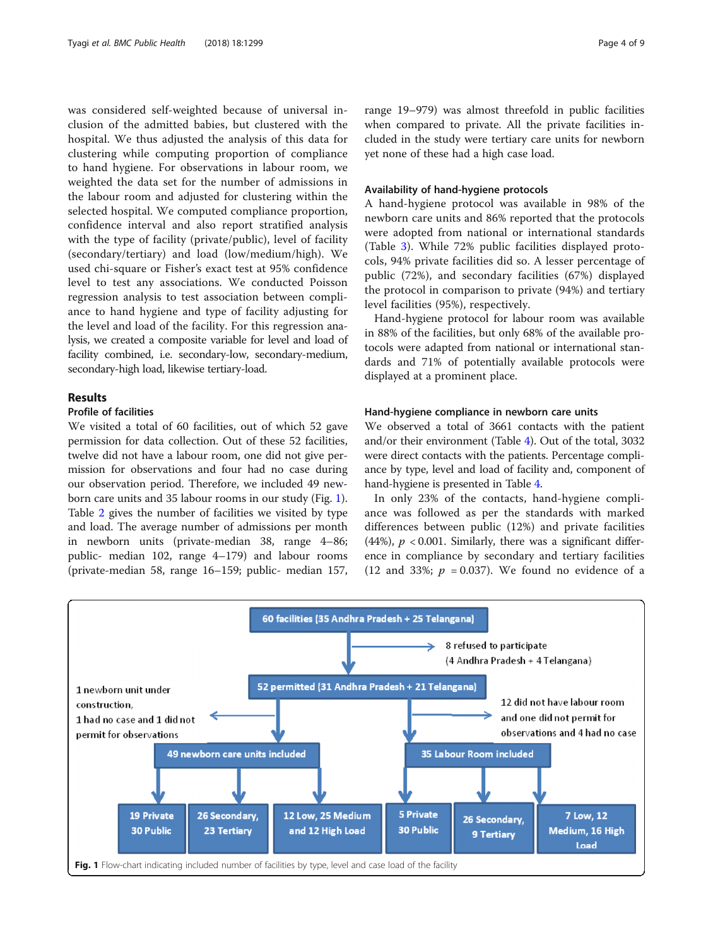was considered self-weighted because of universal inclusion of the admitted babies, but clustered with the hospital. We thus adjusted the analysis of this data for clustering while computing proportion of compliance to hand hygiene. For observations in labour room, we weighted the data set for the number of admissions in the labour room and adjusted for clustering within the selected hospital. We computed compliance proportion, confidence interval and also report stratified analysis with the type of facility (private/public), level of facility (secondary/tertiary) and load (low/medium/high). We used chi-square or Fisher's exact test at 95% confidence level to test any associations. We conducted Poisson regression analysis to test association between compliance to hand hygiene and type of facility adjusting for the level and load of the facility. For this regression analysis, we created a composite variable for level and load of facility combined, i.e. secondary-low, secondary-medium, secondary-high load, likewise tertiary-load.

## Results

## Profile of facilities

We visited a total of 60 facilities, out of which 52 gave permission for data collection. Out of these 52 facilities, twelve did not have a labour room, one did not give permission for observations and four had no case during our observation period. Therefore, we included 49 newborn care units and 35 labour rooms in our study (Fig. 1). Table [2](#page-4-0) gives the number of facilities we visited by type and load. The average number of admissions per month in newborn units (private-median 38, range 4–86; public- median 102, range 4–179) and labour rooms (private-median 58, range 16–159; public- median 157, range 19–979) was almost threefold in public facilities when compared to private. All the private facilities included in the study were tertiary care units for newborn yet none of these had a high case load.

#### Availability of hand-hygiene protocols

A hand-hygiene protocol was available in 98% of the newborn care units and 86% reported that the protocols were adopted from national or international standards (Table [3\)](#page-4-0). While 72% public facilities displayed protocols, 94% private facilities did so. A lesser percentage of public (72%), and secondary facilities (67%) displayed the protocol in comparison to private (94%) and tertiary level facilities (95%), respectively.

Hand-hygiene protocol for labour room was available in 88% of the facilities, but only 68% of the available protocols were adapted from national or international standards and 71% of potentially available protocols were displayed at a prominent place.

#### Hand-hygiene compliance in newborn care units

We observed a total of 3661 contacts with the patient and/or their environment (Table [4\)](#page-5-0). Out of the total, 3032 were direct contacts with the patients. Percentage compliance by type, level and load of facility and, component of hand-hygiene is presented in Table [4](#page-5-0).

In only 23% of the contacts, hand-hygiene compliance was followed as per the standards with marked differences between public (12%) and private facilities (44%),  $p < 0.001$ . Similarly, there was a significant difference in compliance by secondary and tertiary facilities (12 and 33%;  $p = 0.037$ ). We found no evidence of a

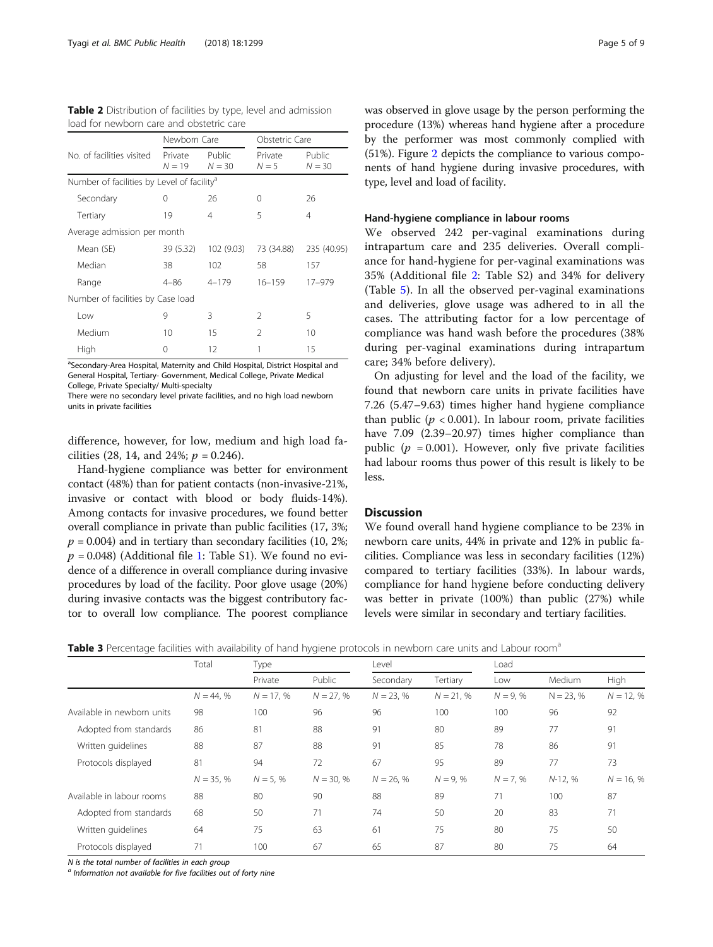<span id="page-4-0"></span>

| <b>Table 2</b> Distribution of facilities by type, level and admission<br>load for newborn care and obstetric care |              |        |                |        |
|--------------------------------------------------------------------------------------------------------------------|--------------|--------|----------------|--------|
|                                                                                                                    | Newborn Care |        | Obstetric Care |        |
| No. of facilities visited                                                                                          | Private      | Public | Private        | Public |

|                                                        | Newborn Care        |                    | Obstetric Care     |                    |
|--------------------------------------------------------|---------------------|--------------------|--------------------|--------------------|
| No. of facilities visited                              | Private<br>$N = 19$ | Public<br>$N = 30$ | Private<br>$N = 5$ | Public<br>$N = 30$ |
| Number of facilities by Level of facility <sup>a</sup> |                     |                    |                    |                    |

| Secondary |                                   | $^{(1)}$  | 26         | Λ             | 26          |
|-----------|-----------------------------------|-----------|------------|---------------|-------------|
| Tertiary  |                                   | 19        | 4          | 5             | 4           |
|           | Average admission per month       |           |            |               |             |
| Mean (SE) |                                   | 39 (5.32) | 102 (9.03) | 73 (34.88)    | 235 (40.95) |
| Median    |                                   | 38        | 102        | 58            | 157         |
| Range     |                                   | $4 - 86$  | $4 - 179$  | $16 - 159$    | 17-979      |
|           | Number of facilities by Case load |           |            |               |             |
| l ow      |                                   | 9         | 3          | $\mathcal{P}$ | 5           |
| Medium    |                                   | 10        | 15         | $\mathcal{P}$ | $10 \,$     |
| High      |                                   | Ω         | 12         |               | 15          |

<sup>a</sup>Secondary-Area Hospital, Maternity and Child Hospital, District Hospital and General Hospital, Tertiary- Government, Medical College, Private Medical College, Private Specialty/ Multi-specialty

There were no secondary level private facilities, and no high load newborn units in private facilities

difference, however, for low, medium and high load facilities (28, 14, and 24%;  $p = 0.246$ ).

Hand-hygiene compliance was better for environment contact (48%) than for patient contacts (non-invasive-21%, invasive or contact with blood or body fluids-14%). Among contacts for invasive procedures, we found better overall compliance in private than public facilities (17, 3%;  $p = 0.004$ ) and in tertiary than secondary facilities (10, 2%;  $p = 0.048$ ) (Additional file [1](#page-7-0): Table S1). We found no evidence of a difference in overall compliance during invasive procedures by load of the facility. Poor glove usage (20%) during invasive contacts was the biggest contributory factor to overall low compliance. The poorest compliance was observed in glove usage by the person performing the procedure (13%) whereas hand hygiene after a procedure by the performer was most commonly complied with (51%). Figure [2](#page-6-0) depicts the compliance to various components of hand hygiene during invasive procedures, with type, level and load of facility.

#### Hand-hygiene compliance in labour rooms

We observed 242 per-vaginal examinations during intrapartum care and 235 deliveries. Overall compliance for hand-hygiene for per-vaginal examinations was 35% (Additional file [2](#page-7-0): Table S2) and 34% for delivery (Table [5](#page-6-0)). In all the observed per-vaginal examinations and deliveries, glove usage was adhered to in all the cases. The attributing factor for a low percentage of compliance was hand wash before the procedures (38% during per-vaginal examinations during intrapartum care; 34% before delivery).

On adjusting for level and the load of the facility, we found that newborn care units in private facilities have 7.26 (5.47–9.63) times higher hand hygiene compliance than public ( $p < 0.001$ ). In labour room, private facilities have 7.09 (2.39–20.97) times higher compliance than public ( $p = 0.001$ ). However, only five private facilities had labour rooms thus power of this result is likely to be less.

## **Discussion**

We found overall hand hygiene compliance to be 23% in newborn care units, 44% in private and 12% in public facilities. Compliance was less in secondary facilities (12%) compared to tertiary facilities (33%). In labour wards, compliance for hand hygiene before conducting delivery was better in private (100%) than public (27%) while levels were similar in secondary and tertiary facilities.

| $\tilde{}$                 |             |             |             |             |             |            |             |             |  |
|----------------------------|-------------|-------------|-------------|-------------|-------------|------------|-------------|-------------|--|
|                            | Total       | Type        |             | Level       |             | Load       |             |             |  |
|                            |             | Private     | Public      | Secondary   | Tertiary    | Low        | Medium      | High        |  |
|                            | $N = 44.$ % | $N = 17, %$ | $N = 27, %$ | $N = 23, %$ | $N = 21, %$ | $N = 9, %$ | $N = 23.$ % | $N = 12, %$ |  |
| Available in newborn units | 98          | 100         | 96          | 96          | 100         | 100        | 96          | 92          |  |
| Adopted from standards     | 86          | 81          | 88          | 91          | 80          | 89         | 77          | 91          |  |
| Written guidelines         | 88          | 87          | 88          | 91          | 85          | 78         | 86          | 91          |  |
| Protocols displayed        | 81          | 94          | 72          | 67          | 95          | 89         | 77          | 73          |  |
|                            | $N = 35, %$ | $N = 5, %$  | $N = 30, %$ | $N = 26, %$ | $N = 9, \%$ | $N = 7, %$ | N-12, %     | $N = 16, %$ |  |
| Available in labour rooms  | 88          | 80          | 90          | 88          | 89          | 71         | 100         | 87          |  |
| Adopted from standards     | 68          | 50          | 71          | 74          | 50          | 20         | 83          | 71          |  |
| Written guidelines         | 64          | 75          | 63          | 61          | 75          | 80         | 75          | 50          |  |
| Protocols displayed        | 71          | 100         | 67          | 65          | 87          | 80         | 75          | 64          |  |
|                            |             |             |             |             |             |            |             |             |  |

Table 3 Percentage facilities with availability of hand hygiene protocols in newborn care units and Labour room<sup>a</sup>

N is the total number of facilities in each group

<sup>a</sup> Information not available for five facilities out of forty nine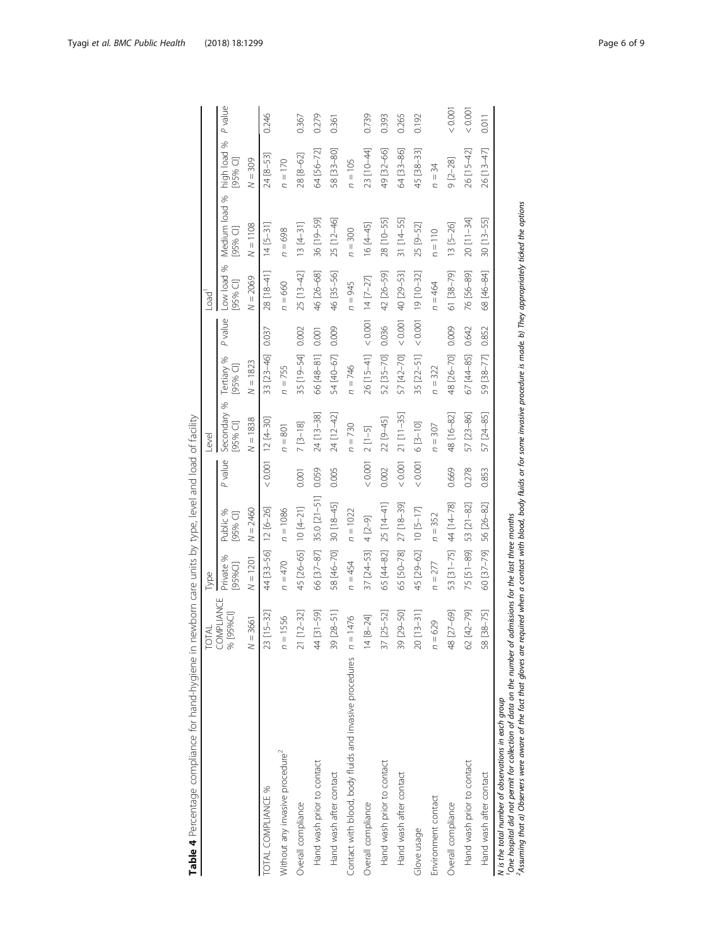|                                                                                                                                                             | TOTAL                          | Type                                                                            |                        |         | Level                   |                         |         | Load <sup>1</sup>      |                           |                         |         |
|-------------------------------------------------------------------------------------------------------------------------------------------------------------|--------------------------------|---------------------------------------------------------------------------------|------------------------|---------|-------------------------|-------------------------|---------|------------------------|---------------------------|-------------------------|---------|
|                                                                                                                                                             | COMPLIANCE<br>% [95%Cl]        | Private %<br>[95%CI]                                                            | Public %<br>$[95%$ CI] | P value | Secondary %<br>[95% CI] | Tertiary %<br>$[95%$ CI | P value | Low load %<br>[95% CI] | Medium load %<br>[95% CI] | high load %<br>[95% CI] | P value |
|                                                                                                                                                             | $N = 3661$                     | $N = 1201$                                                                      | $N = 2460$             |         | $N = 1838$              | $N = 1823$              |         | $N = 2069$             | $N = 1108$                | $N = 309$               |         |
| TOTAL COMPLIANCE %                                                                                                                                          | 23 [15-32]                     | 44 [33-56] 12 [6-26]                                                            |                        |         | $0.0001$ 12 [4-30]      | 33 [23-46]              | 0.037   | 28 [18-41]             | $14$ [5-31]               | 24 [8–53]               | 0.246   |
| Without any invasive procedure <sup>2</sup>                                                                                                                 | $n = 1556$                     | $n = 470$                                                                       | $n = 1086$             |         | $n = 801$               | $= 755$<br>Ċ            |         | $n = 660$              | $n = 698$                 | $n = 170$               |         |
| Overall compliance                                                                                                                                          | $[12 - 32]$<br>$\overline{21}$ | 45 [26-65]                                                                      | $10 [4 - 21]$          | 0.001   | $7 [3 - 18]$            | 35 [19-54]              | 0.002   | 25 [13-42]             | $13 [4 - 31]$             | 28 [8-62]               | 0.367   |
| Hand wash prior to contact                                                                                                                                  | $[31 - 59]$<br>$\overline{4}$  | 66 [37-87]                                                                      | 35.0 [21-51]           | 0.059   | 24 [13-38]              | 66 [48-81]              | 0.001   | 46 [26-68]             | 36 [19-59]                | 64 [56-72]              | 0.279   |
| Hand wash after contact                                                                                                                                     | $[28 - 51]$<br>39              | 58 [46-70]                                                                      | 30 [18-45]             | 0.005   | 24 [12-42]              | 54 [40-67]              | 0.009   | 46 [35-56]             | 25 [12-46]                | 58 [33-80]              | 0.361   |
| Contact with blood, body fluids and invasive procedures $n = 1476$                                                                                          |                                | $n = 454$                                                                       | $n = 1022$             |         | $n = 730$               | $n = 746$               |         | $n = 945$              | $n = 300$                 | $n = 105$               |         |
| Overall compliance                                                                                                                                          | $[8 - 24]$<br>$\overline{4}$   | 37 [24-53]                                                                      | $4[2-9]$               | 0.001   | $2[1-5]$                | 26 [15-41]              |         | $< 0.001$ 14 $[7-27]$  | 16 [4-45]                 | 23 [10-44]              | 0.739   |
| Hand wash prior to contact                                                                                                                                  | 37 [25-52]                     | 65 [44-82]                                                                      | 25 [14-41]             | 0.002   | 22 [9-45]               | 52 [35-70]              | 0.036   | 42 [26-59]             | 28 [10-55]                | 49 [32-66]              | 0.393   |
| Hand wash after contact                                                                                                                                     | 39 [29-50]                     | 65 [50-78]                                                                      | 27 [18-39]             | < 0.001 | 21 [11-35]              | 57 [42-70] < 0.001      |         | 40 [29-53]             | 31 [14-55]                | 64 [33-86]              | 0.265   |
| Glove usage                                                                                                                                                 | 20 [13-31]                     | 45 [29-62] 10 [5-17]                                                            |                        | 0.001   | $6[3 - 10]$             | 35 [22-51] <0.001       |         | 19 [10-32]             | 25 [9-52]                 | 45 [38-33]              | 0.192   |
| Environment contact                                                                                                                                         | $n = 629$                      | $n = 277$                                                                       | $n = 352$              |         | $= 307$<br>C            | $n = 322$               |         | $n = 464$              | $n = 110$                 | $n = 34$                |         |
| Overall compliance                                                                                                                                          | $[27 - 69]$<br>48              | 53 [31-75]                                                                      | 44 [14-78]             | 0.669   | 48 [16-82]              | 48 [26-70]              | 0.009   | 61 [38-79]             | 13 [5-26]                 | $9 [2 - 28]$            | 0.001   |
| Hand wash prior to contact                                                                                                                                  | $[42 - 79]$<br>29              | 75 [51-89]                                                                      | 53 [21-82]             | 0.278   | 57 [23-86]              | 67 [44-85]              | 0.642   | 76 [56-89]             | 20 [11-34]                | 26 [15-42]              | 0.001   |
| Hand wash after contact                                                                                                                                     | 58 [38-75]                     | 60 [37-79]                                                                      | 56 [26-82]             | 0.853   | 57 [24-85]              | 59 [38-77]              | 0.852   | 68 [46-84]             | 30 [13-55]                | 26 [13-47]              | 0.011   |
| ه د سر به است بران برای برای<br>N is the total number of observations in each group<br>المعادلة فالمستنفس والمستنقص والمتناسب<br>والمصادح المنتسب بالمستحدة |                                | والملتقي ومستحدث والمتحدث والمتحدث والمتحدث والمتحدث والمتحدث والمتحدث والمتحدث |                        |         |                         |                         |         |                        |                           |                         |         |

Table 4 Percentage compliance for hand-hygiene in newborn care units by type, level and load of facility Table 4 Percentage compliance for hand-hygiene in newborn care units by type, level and load of facility

' One hospital did not permit for collection of data on the number of datnissions for the earnoths<br>"Assuming that a) Observers were aware of the fact that gloves are required when a contact with blood, body fluids or for s Assuming that a) Observers were aware of the fact that gloves are required when a contact with blood, body fluids or for some invasive procedure is made. b) They appropriately ticked the options 1One hospital did not permit for collection of data on the number of admissions for the last three months

<span id="page-5-0"></span>Tyagi et al. BMC Public Health (2018) 18:1299 et al. 9 age 6 of 9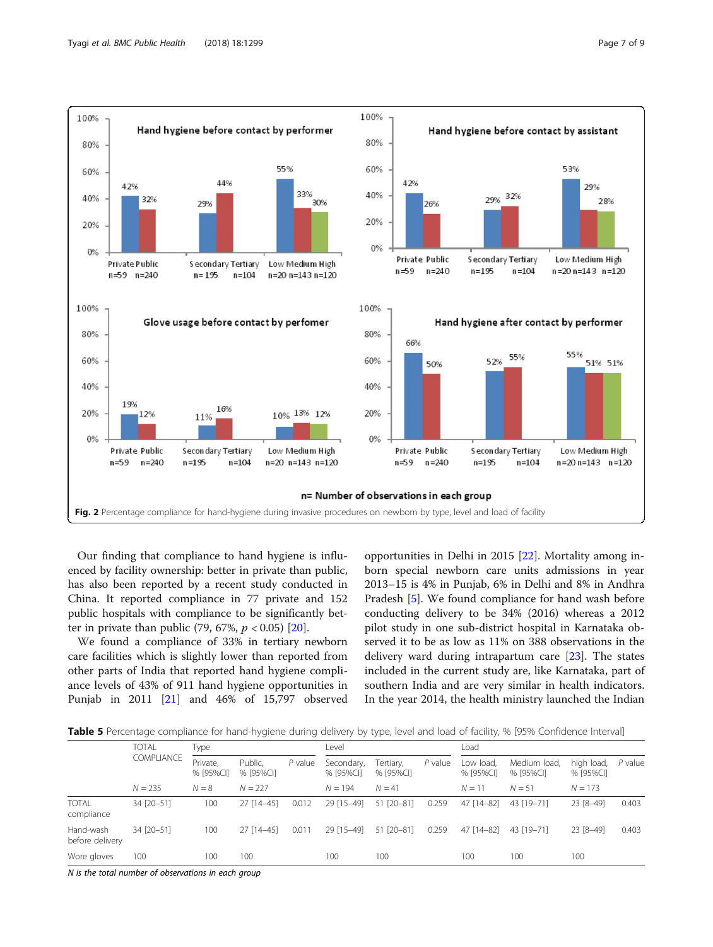<span id="page-6-0"></span>

Our finding that compliance to hand hygiene is influenced by facility ownership: better in private than public, has also been reported by a recent study conducted in China. It reported compliance in 77 private and 152 public hospitals with compliance to be significantly better in private than public (79, 67%,  $p < 0.05$ ) [\[20](#page-8-0)].

We found a compliance of 33% in tertiary newborn care facilities which is slightly lower than reported from other parts of India that reported hand hygiene compliance levels of 43% of 911 hand hygiene opportunities in Punjab in 2011 [[21\]](#page-8-0) and 46% of 15,797 observed opportunities in Delhi in 2015 [\[22](#page-8-0)]. Mortality among inborn special newborn care units admissions in year 2013–15 is 4% in Punjab, 6% in Delhi and 8% in Andhra Pradesh [\[5](#page-8-0)]. We found compliance for hand wash before conducting delivery to be 34% (2016) whereas a 2012 pilot study in one sub-district hospital in Karnataka observed it to be as low as 11% on 388 observations in the delivery ward during intrapartum care [\[23](#page-8-0)]. The states included in the current study are, like Karnataka, part of southern India and are very similar in health indicators. In the year 2014, the health ministry launched the Indian

Table 5 Percentage compliance for hand-hygiene during delivery by type, level and load of facility, % [95% Confidence Interval]

|                              | <b>TOTAL</b>      | Type                  |                      |           | Level                   |                        |           | Load                   |                           |                         |           |
|------------------------------|-------------------|-----------------------|----------------------|-----------|-------------------------|------------------------|-----------|------------------------|---------------------------|-------------------------|-----------|
|                              | <b>COMPLIANCE</b> | Private.<br>% [95%CI] | Public.<br>% [95%CI] | $P$ value | Secondary,<br>% [95%CI] | Tertiary,<br>% [95%CI] | $P$ value | Low load.<br>% [95%CI] | Medium load,<br>% [95%CI] | high load,<br>% [95%CI] | $P$ value |
|                              | $N = 235$         | $N = 8$               | $N = 227$            |           | $N = 194$               | $N = 41$               |           | $N = 11$               | $N = 173$<br>$N = 51$     |                         |           |
| <b>TOTAL</b><br>compliance   | 34 [20-51]        | 100                   | 27 [14-45]           | 0.012     | 29 [15-49]              | 51 [20-81]             | 0.259     | 47 [14-82]             | 43 [19-71]                | 23 [8-49]               | 0.403     |
| Hand-wash<br>before delivery | 34 [20-51]        | 100                   | 27 [14-45]           | 0.011     | 29 [15-49]              | 51 [20-81]             | 0.259     | 47 [14-82]             | 43 [19-71]                | 23 [8-49]               | 0.403     |
| Wore gloves                  | 100               | 100                   | 100                  |           | 100                     | 100                    |           | 100                    | 100                       | 100                     |           |

N is the total number of observations in each group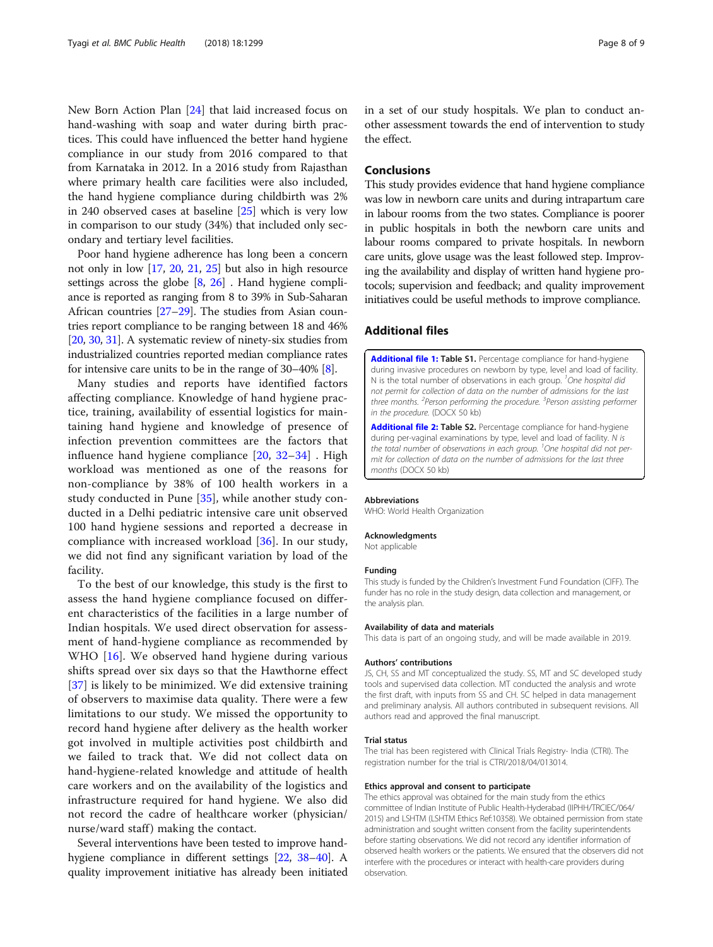<span id="page-7-0"></span>New Born Action Plan [\[24](#page-8-0)] that laid increased focus on hand-washing with soap and water during birth practices. This could have influenced the better hand hygiene compliance in our study from 2016 compared to that from Karnataka in 2012. In a 2016 study from Rajasthan where primary health care facilities were also included, the hand hygiene compliance during childbirth was 2% in 240 observed cases at baseline [\[25](#page-8-0)] which is very low in comparison to our study (34%) that included only secondary and tertiary level facilities.

Poor hand hygiene adherence has long been a concern not only in low [\[17](#page-8-0), [20](#page-8-0), [21](#page-8-0), [25\]](#page-8-0) but also in high resource settings across the globe  $[8, 26]$  $[8, 26]$  $[8, 26]$  $[8, 26]$  $[8, 26]$ . Hand hygiene compliance is reported as ranging from 8 to 39% in Sub-Saharan African countries [[27](#page-8-0)–[29\]](#page-8-0). The studies from Asian countries report compliance to be ranging between 18 and 46% [[20](#page-8-0), [30,](#page-8-0) [31](#page-8-0)]. A systematic review of ninety-six studies from industrialized countries reported median compliance rates for intensive care units to be in the range of 30–40% [[8\]](#page-8-0).

Many studies and reports have identified factors affecting compliance. Knowledge of hand hygiene practice, training, availability of essential logistics for maintaining hand hygiene and knowledge of presence of infection prevention committees are the factors that influence hand hygiene compliance [\[20](#page-8-0), [32](#page-8-0)–[34\]](#page-8-0) . High workload was mentioned as one of the reasons for non-compliance by 38% of 100 health workers in a study conducted in Pune [\[35](#page-8-0)], while another study conducted in a Delhi pediatric intensive care unit observed 100 hand hygiene sessions and reported a decrease in compliance with increased workload [\[36](#page-8-0)]. In our study, we did not find any significant variation by load of the facility.

To the best of our knowledge, this study is the first to assess the hand hygiene compliance focused on different characteristics of the facilities in a large number of Indian hospitals. We used direct observation for assessment of hand-hygiene compliance as recommended by WHO [\[16](#page-8-0)]. We observed hand hygiene during various shifts spread over six days so that the Hawthorne effect [[37\]](#page-8-0) is likely to be minimized. We did extensive training of observers to maximise data quality. There were a few limitations to our study. We missed the opportunity to record hand hygiene after delivery as the health worker got involved in multiple activities post childbirth and we failed to track that. We did not collect data on hand-hygiene-related knowledge and attitude of health care workers and on the availability of the logistics and infrastructure required for hand hygiene. We also did not record the cadre of healthcare worker (physician/ nurse/ward staff) making the contact.

Several interventions have been tested to improve handhygiene compliance in different settings [\[22,](#page-8-0) [38](#page-8-0)–[40\]](#page-8-0). A quality improvement initiative has already been initiated in a set of our study hospitals. We plan to conduct another assessment towards the end of intervention to study the effect.

## **Conclusions**

This study provides evidence that hand hygiene compliance was low in newborn care units and during intrapartum care in labour rooms from the two states. Compliance is poorer in public hospitals in both the newborn care units and labour rooms compared to private hospitals. In newborn care units, glove usage was the least followed step. Improving the availability and display of written hand hygiene protocols; supervision and feedback; and quality improvement initiatives could be useful methods to improve compliance.

## Additional files

[Additional file 1:](https://doi.org/10.1186/s12889-018-6219-6) Table S1. Percentage compliance for hand-hygiene during invasive procedures on newborn by type, level and load of facility. N is the total number of observations in each group. <sup>1</sup>One hospital dia not permit for collection of data on the number of admissions for the last three months. <sup>2</sup> Person performing the procedure. <sup>3</sup> Person assisting performer in the procedure. (DOCX 50 kb)

[Additional file 2:](https://doi.org/10.1186/s12889-018-6219-6) Table S2. Percentage compliance for hand-hygiene during per-vaginal examinations by type, level and load of facility. N is the total number of observations in each group. <sup>1</sup>One hospital did not permit for collection of data on the number of admissions for the last three months (DOCX 50 kb)

#### Abbreviations

WHO: World Health Organization

#### Acknowledgments

Not applicable

#### Funding

This study is funded by the Children's Investment Fund Foundation (CIFF). The funder has no role in the study design, data collection and management, or the analysis plan.

#### Availability of data and materials

This data is part of an ongoing study, and will be made available in 2019.

#### Authors' contributions

JS, CH, SS and MT conceptualized the study. SS, MT and SC developed study tools and supervised data collection. MT conducted the analysis and wrote the first draft, with inputs from SS and CH. SC helped in data management and preliminary analysis. All authors contributed in subsequent revisions. All authors read and approved the final manuscript.

#### Trial status

The trial has been registered with Clinical Trials Registry- India (CTRI). The registration number for the trial is CTRI/2018/04/013014.

#### Ethics approval and consent to participate

The ethics approval was obtained for the main study from the ethics committee of Indian Institute of Public Health-Hyderabad (IIPHH/TRCIEC/064/ 2015) and LSHTM (LSHTM Ethics Ref:10358). We obtained permission from state administration and sought written consent from the facility superintendents before starting observations. We did not record any identifier information of observed health workers or the patients. We ensured that the observers did not interfere with the procedures or interact with health-care providers during observation.